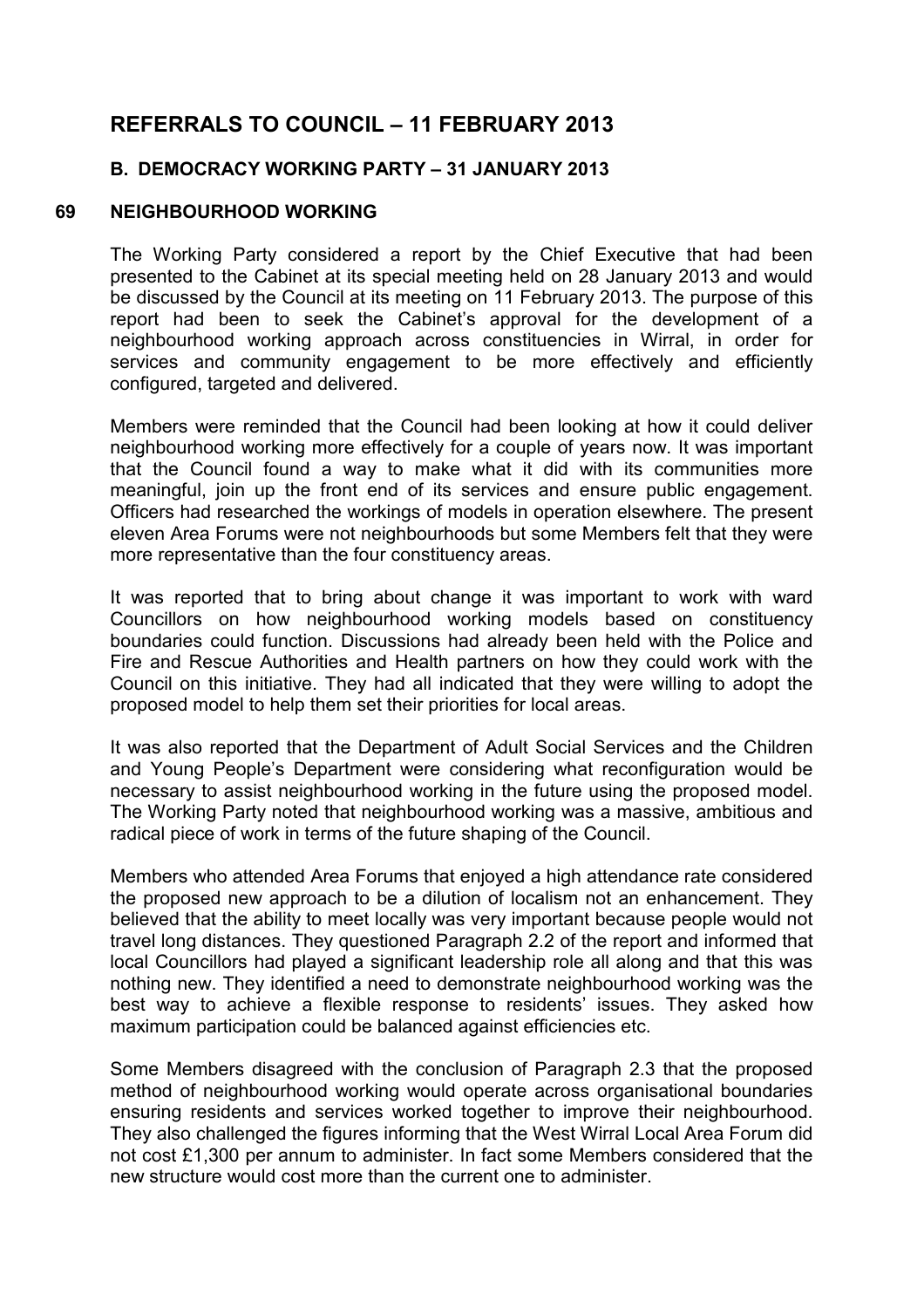# **REFERRALS TO COUNCIL – 11 FEBRUARY 2013**

# **B. DEMOCRACY WORKING PARTY – 31 JANUARY 2013**

## **69 NEIGHBOURHOOD WORKING**

The Working Party considered a report by the Chief Executive that had been presented to the Cabinet at its special meeting held on 28 January 2013 and would be discussed by the Council at its meeting on 11 February 2013. The purpose of this report had been to seek the Cabinet's approval for the development of a neighbourhood working approach across constituencies in Wirral, in order for services and community engagement to be more effectively and efficiently configured, targeted and delivered.

Members were reminded that the Council had been looking at how it could deliver neighbourhood working more effectively for a couple of years now. It was important that the Council found a way to make what it did with its communities more meaningful, join up the front end of its services and ensure public engagement. Officers had researched the workings of models in operation elsewhere. The present eleven Area Forums were not neighbourhoods but some Members felt that they were more representative than the four constituency areas.

It was reported that to bring about change it was important to work with ward Councillors on how neighbourhood working models based on constituency boundaries could function. Discussions had already been held with the Police and Fire and Rescue Authorities and Health partners on how they could work with the Council on this initiative. They had all indicated that they were willing to adopt the proposed model to help them set their priorities for local areas.

It was also reported that the Department of Adult Social Services and the Children and Young People's Department were considering what reconfiguration would be necessary to assist neighbourhood working in the future using the proposed model. The Working Party noted that neighbourhood working was a massive, ambitious and radical piece of work in terms of the future shaping of the Council.

Members who attended Area Forums that enjoyed a high attendance rate considered the proposed new approach to be a dilution of localism not an enhancement. They believed that the ability to meet locally was very important because people would not travel long distances. They questioned Paragraph 2.2 of the report and informed that local Councillors had played a significant leadership role all along and that this was nothing new. They identified a need to demonstrate neighbourhood working was the best way to achieve a flexible response to residents' issues. They asked how maximum participation could be balanced against efficiencies etc.

Some Members disagreed with the conclusion of Paragraph 2.3 that the proposed method of neighbourhood working would operate across organisational boundaries ensuring residents and services worked together to improve their neighbourhood. They also challenged the figures informing that the West Wirral Local Area Forum did not cost £1,300 per annum to administer. In fact some Members considered that the new structure would cost more than the current one to administer.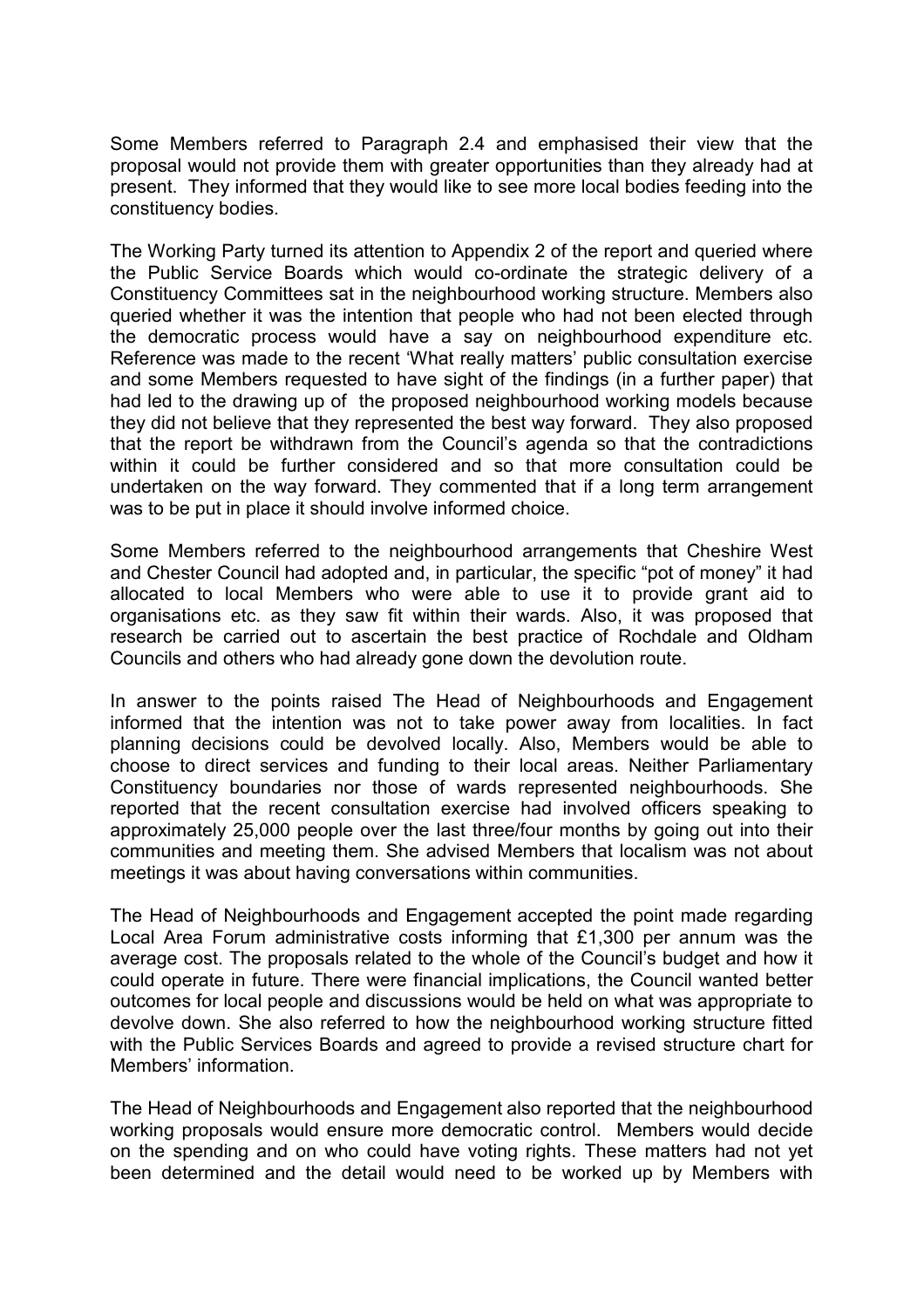Some Members referred to Paragraph 2.4 and emphasised their view that the proposal would not provide them with greater opportunities than they already had at present. They informed that they would like to see more local bodies feeding into the constituency bodies.

The Working Party turned its attention to Appendix 2 of the report and queried where the Public Service Boards which would co-ordinate the strategic delivery of a Constituency Committees sat in the neighbourhood working structure. Members also queried whether it was the intention that people who had not been elected through the democratic process would have a say on neighbourhood expenditure etc. Reference was made to the recent 'What really matters' public consultation exercise and some Members requested to have sight of the findings (in a further paper) that had led to the drawing up of the proposed neighbourhood working models because they did not believe that they represented the best way forward. They also proposed that the report be withdrawn from the Council's agenda so that the contradictions within it could be further considered and so that more consultation could be undertaken on the way forward. They commented that if a long term arrangement was to be put in place it should involve informed choice.

Some Members referred to the neighbourhood arrangements that Cheshire West and Chester Council had adopted and, in particular, the specific "pot of money" it had allocated to local Members who were able to use it to provide grant aid to organisations etc. as they saw fit within their wards. Also, it was proposed that research be carried out to ascertain the best practice of Rochdale and Oldham Councils and others who had already gone down the devolution route.

In answer to the points raised The Head of Neighbourhoods and Engagement informed that the intention was not to take power away from localities. In fact planning decisions could be devolved locally. Also, Members would be able to choose to direct services and funding to their local areas. Neither Parliamentary Constituency boundaries nor those of wards represented neighbourhoods. She reported that the recent consultation exercise had involved officers speaking to approximately 25,000 people over the last three/four months by going out into their communities and meeting them. She advised Members that localism was not about meetings it was about having conversations within communities.

The Head of Neighbourhoods and Engagement accepted the point made regarding Local Area Forum administrative costs informing that £1,300 per annum was the average cost. The proposals related to the whole of the Council's budget and how it could operate in future. There were financial implications, the Council wanted better outcomes for local people and discussions would be held on what was appropriate to devolve down. She also referred to how the neighbourhood working structure fitted with the Public Services Boards and agreed to provide a revised structure chart for Members' information.

The Head of Neighbourhoods and Engagement also reported that the neighbourhood working proposals would ensure more democratic control. Members would decide on the spending and on who could have voting rights. These matters had not yet been determined and the detail would need to be worked up by Members with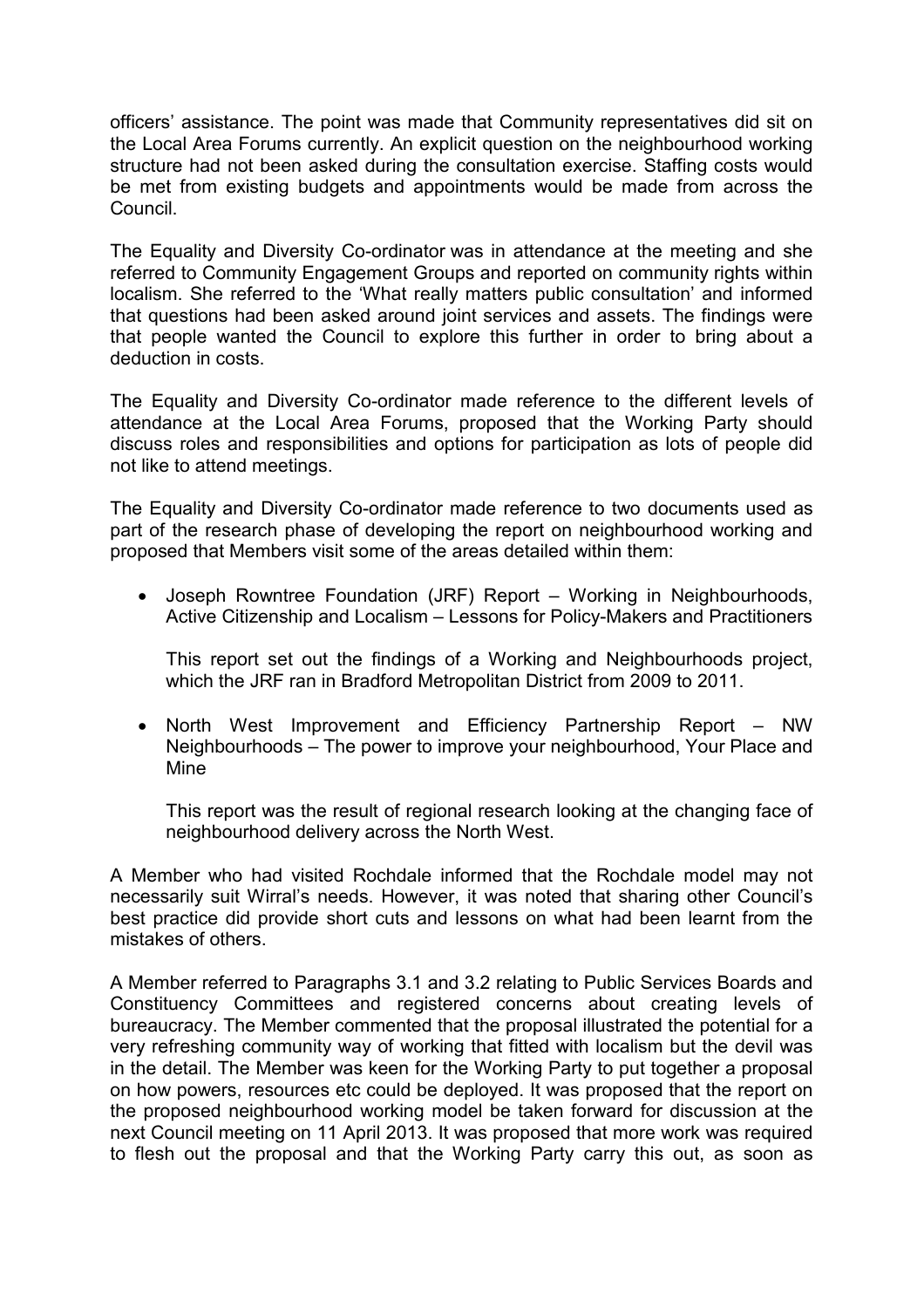officers' assistance. The point was made that Community representatives did sit on the Local Area Forums currently. An explicit question on the neighbourhood working structure had not been asked during the consultation exercise. Staffing costs would be met from existing budgets and appointments would be made from across the Council.

The Equality and Diversity Co-ordinator was in attendance at the meeting and she referred to Community Engagement Groups and reported on community rights within localism. She referred to the 'What really matters public consultation' and informed that questions had been asked around joint services and assets. The findings were that people wanted the Council to explore this further in order to bring about a deduction in costs.

The Equality and Diversity Co-ordinator made reference to the different levels of attendance at the Local Area Forums, proposed that the Working Party should discuss roles and responsibilities and options for participation as lots of people did not like to attend meetings.

The Equality and Diversity Co-ordinator made reference to two documents used as part of the research phase of developing the report on neighbourhood working and proposed that Members visit some of the areas detailed within them:

• Joseph Rowntree Foundation (JRF) Report – Working in Neighbourhoods, Active Citizenship and Localism – Lessons for Policy-Makers and Practitioners

This report set out the findings of a Working and Neighbourhoods project, which the JRF ran in Bradford Metropolitan District from 2009 to 2011.

• North West Improvement and Efficiency Partnership Report – NW Neighbourhoods – The power to improve your neighbourhood, Your Place and Mine

This report was the result of regional research looking at the changing face of neighbourhood delivery across the North West.

A Member who had visited Rochdale informed that the Rochdale model may not necessarily suit Wirral's needs. However, it was noted that sharing other Council's best practice did provide short cuts and lessons on what had been learnt from the mistakes of others.

A Member referred to Paragraphs 3.1 and 3.2 relating to Public Services Boards and Constituency Committees and registered concerns about creating levels of bureaucracy. The Member commented that the proposal illustrated the potential for a very refreshing community way of working that fitted with localism but the devil was in the detail. The Member was keen for the Working Party to put together a proposal on how powers, resources etc could be deployed. It was proposed that the report on the proposed neighbourhood working model be taken forward for discussion at the next Council meeting on 11 April 2013. It was proposed that more work was required to flesh out the proposal and that the Working Party carry this out, as soon as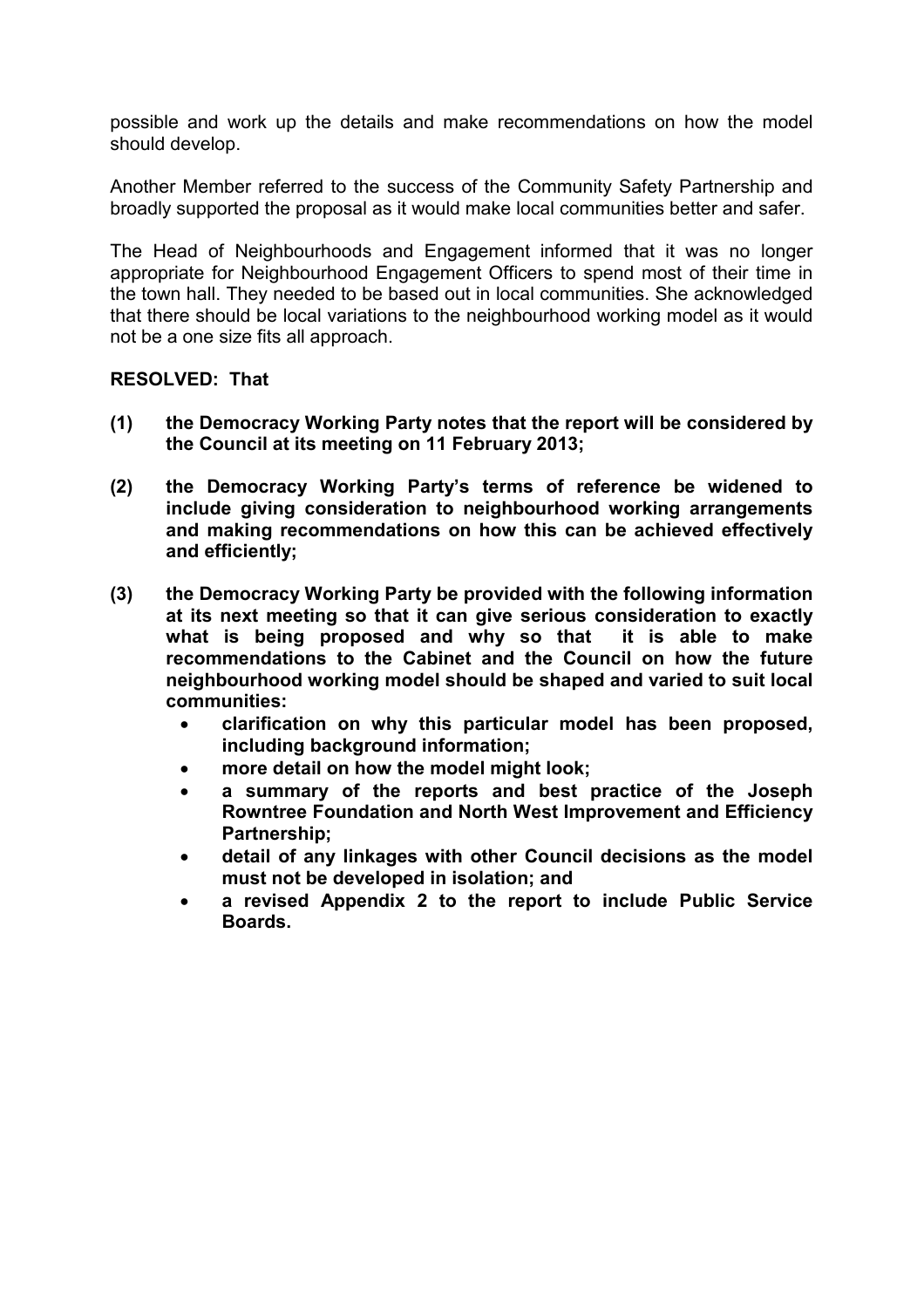possible and work up the details and make recommendations on how the model should develop.

Another Member referred to the success of the Community Safety Partnership and broadly supported the proposal as it would make local communities better and safer.

The Head of Neighbourhoods and Engagement informed that it was no longer appropriate for Neighbourhood Engagement Officers to spend most of their time in the town hall. They needed to be based out in local communities. She acknowledged that there should be local variations to the neighbourhood working model as it would not be a one size fits all approach.

#### **RESOLVED: That**

- **(1) the Democracy Working Party notes that the report will be considered by the Council at its meeting on 11 February 2013;**
- **(2) the Democracy Working Party's terms of reference be widened to include giving consideration to neighbourhood working arrangements and making recommendations on how this can be achieved effectively and efficiently;**
- **(3) the Democracy Working Party be provided with the following information at its next meeting so that it can give serious consideration to exactly what is being proposed and why so that it is able to make recommendations to the Cabinet and the Council on how the future neighbourhood working model should be shaped and varied to suit local communities:** 
	- **clarification on why this particular model has been proposed, including background information;**
	- **more detail on how the model might look;**
	- **a summary of the reports and best practice of the Joseph Rowntree Foundation and North West Improvement and Efficiency Partnership;**
	- **detail of any linkages with other Council decisions as the model must not be developed in isolation; and**
	- **a revised Appendix 2 to the report to include Public Service Boards.**